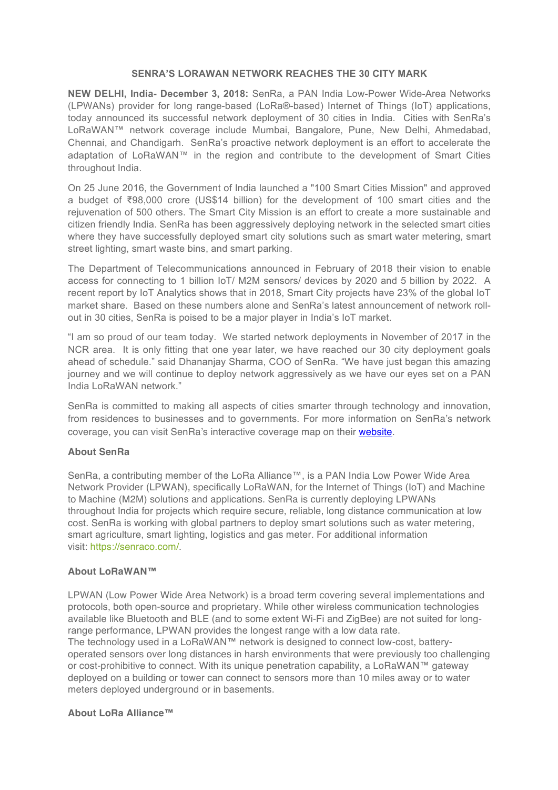## **SENRA'S LORAWAN NETWORK REACHES THE 30 CITY MARK**

**NEW DELHI, India- December 3, 2018:** SenRa, a PAN India Low-Power Wide-Area Networks (LPWANs) provider for long range-based (LoRa®-based) Internet of Things (IoT) applications, today announced its successful network deployment of 30 cities in India. Cities with SenRa's LoRaWAN™ network coverage include Mumbai, Bangalore, Pune, New Delhi, Ahmedabad, Chennai, and Chandigarh. SenRa's proactive network deployment is an effort to accelerate the adaptation of LoRaWAN™ in the region and contribute to the development of Smart Cities throughout India.

On 25 June 2016, the Government of India launched a "100 Smart Cities Mission" and approved a budget of ₹98,000 crore (US\$14 billion) for the development of 100 smart cities and the rejuvenation of 500 others. The Smart City Mission is an effort to create a more sustainable and citizen friendly India. SenRa has been aggressively deploying network in the selected smart cities where they have successfully deployed smart city solutions such as smart water metering, smart street lighting, smart waste bins, and smart parking.

The Department of Telecommunications announced in February of 2018 their vision to enable access for connecting to 1 billion IoT/ M2M sensors/ devices by 2020 and 5 billion by 2022. A recent report by IoT Analytics shows that in 2018, Smart City projects have 23% of the global IoT market share. Based on these numbers alone and SenRa's latest announcement of network rollout in 30 cities, SenRa is poised to be a major player in India's IoT market.

"I am so proud of our team today. We started network deployments in November of 2017 in the NCR area. It is only fitting that one year later, we have reached our 30 city deployment goals ahead of schedule." said Dhananjay Sharma, COO of SenRa. "We have just began this amazing journey and we will continue to deploy network aggressively as we have our eyes set on a PAN India LoRaWAN network."

SenRa is committed to making all aspects of cities smarter through technology and innovation, from residences to businesses and to governments. For more information on SenRa's network coverage, you can visit SenRa's interactive coverage map on their website.

## **About SenRa**

SenRa, a contributing member of the LoRa Alliance™, is a PAN India Low Power Wide Area Network Provider (LPWAN), specifically LoRaWAN, for the Internet of Things (IoT) and Machine to Machine (M2M) solutions and applications. SenRa is currently deploying LPWANs throughout India for projects which require secure, reliable, long distance communication at low cost. SenRa is working with global partners to deploy smart solutions such as water metering, smart agriculture, smart lighting, logistics and gas meter. For additional information visit: https://senraco.com/.

## **About LoRaWAN™**

LPWAN (Low Power Wide Area Network) is a broad term covering several implementations and protocols, both open-source and proprietary. While other wireless communication technologies available like Bluetooth and BLE (and to some extent Wi-Fi and ZigBee) are not suited for longrange performance, LPWAN provides the longest range with a low data rate. The technology used in a LoRaWAN™ network is designed to connect low-cost, battery-

operated sensors over long distances in harsh environments that were previously too challenging or cost-prohibitive to connect. With its unique penetration capability, a LoRaWAN™ gateway deployed on a building or tower can connect to sensors more than 10 miles away or to water meters deployed underground or in basements.

## **About LoRa Alliance™**